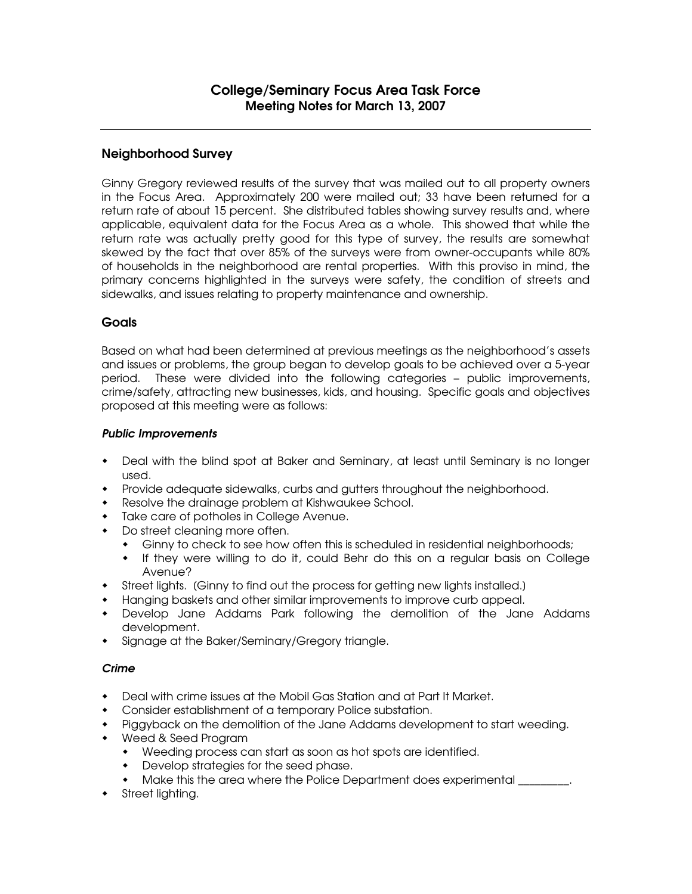# Neighborhood Survey

Ginny Gregory reviewed results of the survey that was mailed out to all property owners in the Focus Area. Approximately 200 were mailed out; 33 have been returned for a return rate of about 15 percent. She distributed tables showing survey results and, where applicable, equivalent data for the Focus Area as a whole. This showed that while the return rate was actually pretty good for this type of survey, the results are somewhat skewed by the fact that over 85% of the surveys were from owner-occupants while 80% of households in the neighborhood are rental properties. With this proviso in mind, the primary concerns highlighted in the surveys were safety, the condition of streets and sidewalks, and issues relating to property maintenance and ownership.

## **Goals**

Based on what had been determined at previous meetings as the neighborhood's assets and issues or problems, the group began to develop goals to be achieved over a 5-year period. These were divided into the following categories – public improvements, crime/safety, attracting new businesses, kids, and housing. Specific goals and objectives proposed at this meeting were as follows:

#### *Public Improvements*

- Deal with the blind spot at Baker and Seminary, at least until Seminary is no longer used.
- Provide adequate sidewalks, curbs and gutters throughout the neighborhood.
- Resolve the drainage problem at Kishwaukee School.
- Take care of potholes in College Avenue.
- Do street cleaning more often.
	- Ginny to check to see how often this is scheduled in residential neighborhoods;
	- If they were willing to do it, could Behr do this on a regular basis on College Avenue?
- Street lights. [Ginny to find out the process for getting new lights installed.]
- Hanging baskets and other similar improvements to improve curb appeal.
- Develop Jane Addams Park following the demolition of the Jane Addams development.
- Signage at the Baker/Seminary/Gregory triangle.

## *Crime*

- Deal with crime issues at the Mobil Gas Station and at Part It Market.
- Consider establishment of a temporary Police substation.
- Piggyback on the demolition of the Jane Addams development to start weeding.
- Weed & Seed Program
	- Weeding process can start as soon as hot spots are identified.
	- Develop strategies for the seed phase.
	- Make this the area where the Police Department does experimental \_\_\_\_\_\_\_\_\_.
- Street lighting.